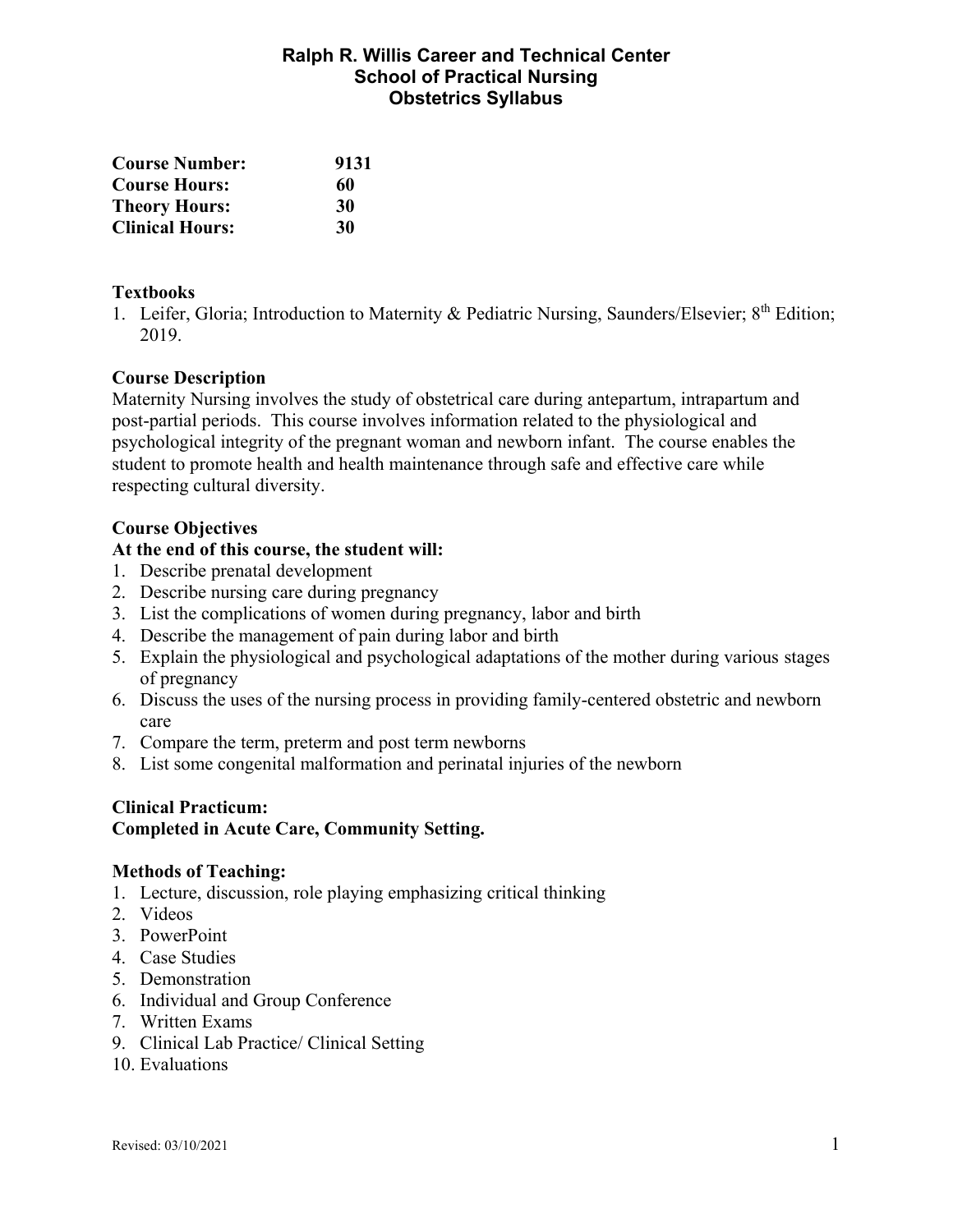# **Ralph R. Willis Career and Technical Center School of Practical Nursing Obstetrics Syllabus**

| <b>Course Number:</b>  | 9131 |
|------------------------|------|
| <b>Course Hours:</b>   | 60   |
| <b>Theory Hours:</b>   | 30   |
| <b>Clinical Hours:</b> | 30   |

## **Textbooks**

1. Leifer, Gloria; Introduction to Maternity & Pediatric Nursing, Saunders/Elsevier; 8<sup>th</sup> Edition; 2019.

# **Course Description**

Maternity Nursing involves the study of obstetrical care during antepartum, intrapartum and post-partial periods. This course involves information related to the physiological and psychological integrity of the pregnant woman and newborn infant. The course enables the student to promote health and health maintenance through safe and effective care while respecting cultural diversity.

#### **Course Objectives**

#### **At the end of this course, the student will:**

- 1. Describe prenatal development
- 2. Describe nursing care during pregnancy
- 3. List the complications of women during pregnancy, labor and birth
- 4. Describe the management of pain during labor and birth
- 5. Explain the physiological and psychological adaptations of the mother during various stages of pregnancy
- 6. Discuss the uses of the nursing process in providing family-centered obstetric and newborn care
- 7. Compare the term, preterm and post term newborns
- 8. List some congenital malformation and perinatal injuries of the newborn

#### **Clinical Practicum:**

#### **Completed in Acute Care, Community Setting.**

#### **Methods of Teaching:**

- 1. Lecture, discussion, role playing emphasizing critical thinking
- 2. Videos
- 3. PowerPoint
- 4. Case Studies
- 5. Demonstration
- 6. Individual and Group Conference
- 7. Written Exams
- 9. Clinical Lab Practice/ Clinical Setting
- 10. Evaluations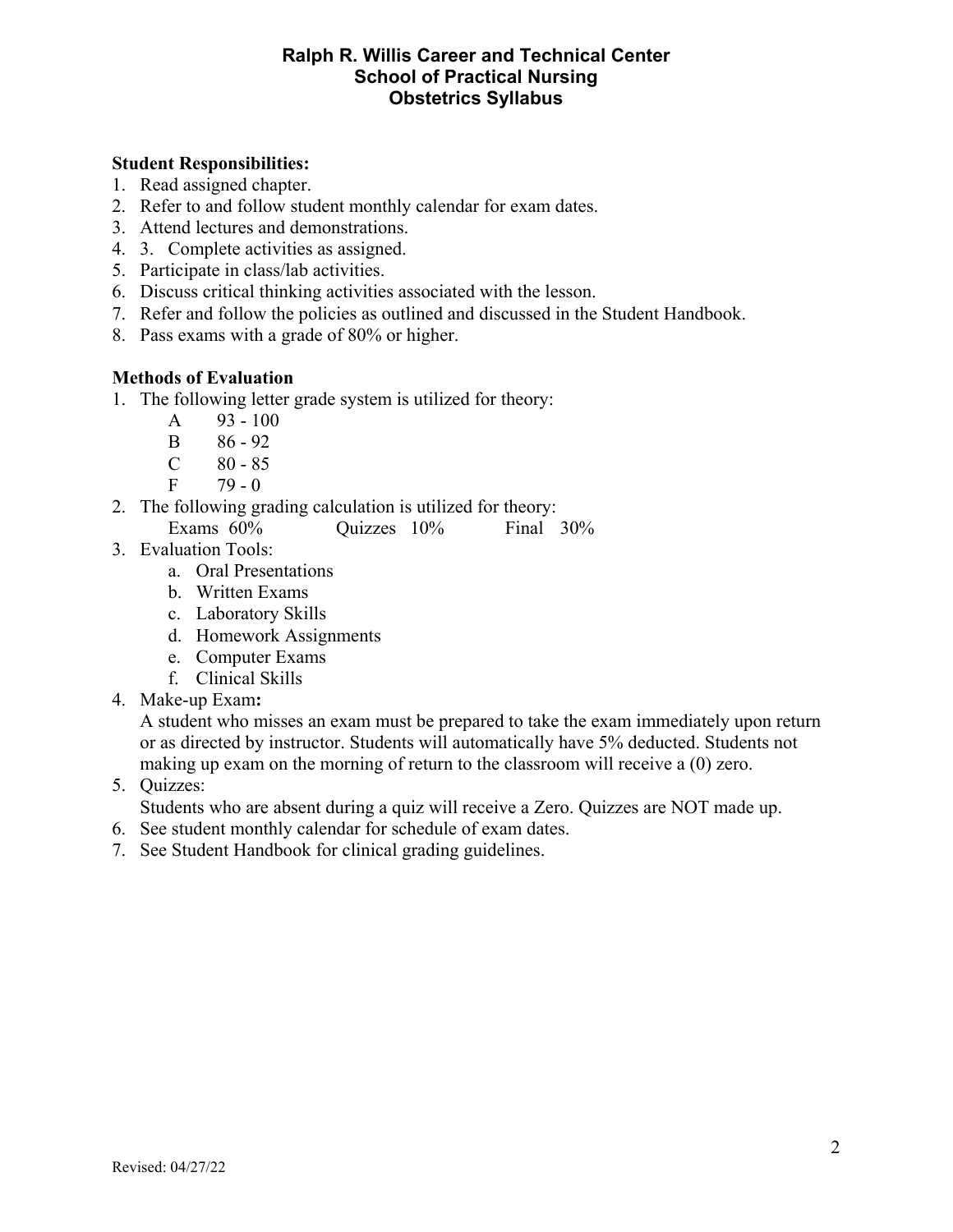# **Ralph R. Willis Career and Technical Center School of Practical Nursing Obstetrics Syllabus**

# **Student Responsibilities:**

- 1. Read assigned chapter.
- 2. Refer to and follow student monthly calendar for exam dates.
- 3. Attend lectures and demonstrations.
- 4. 3. Complete activities as assigned.
- 5. Participate in class/lab activities.
- 6. Discuss critical thinking activities associated with the lesson.
- 7. Refer and follow the policies as outlined and discussed in the Student Handbook.
- 8. Pass exams with a grade of 80% or higher.

# **Methods of Evaluation**

- 1. The following letter grade system is utilized for theory:
	- A  $93 100$
	- B 86 92
	- $C \t 80 85$
	- $F = 79 0$
- 2. The following grading calculation is utilized for theory: Exams 60% Quizzes 10% Final 30%
- 3. Evaluation Tools:
	- a. Oral Presentations
	- b. Written Exams
	- c. Laboratory Skills
	- d. Homework Assignments
	- e. Computer Exams
	- f. Clinical Skills
- 4. Make-up Exam**:**

A student who misses an exam must be prepared to take the exam immediately upon return or as directed by instructor. Students will automatically have 5% deducted. Students not making up exam on the morning of return to the classroom will receive a (0) zero.

5. Quizzes:

Students who are absent during a quiz will receive a Zero. Quizzes are NOT made up.

- 6. See student monthly calendar for schedule of exam dates.
- 7. See Student Handbook for clinical grading guidelines.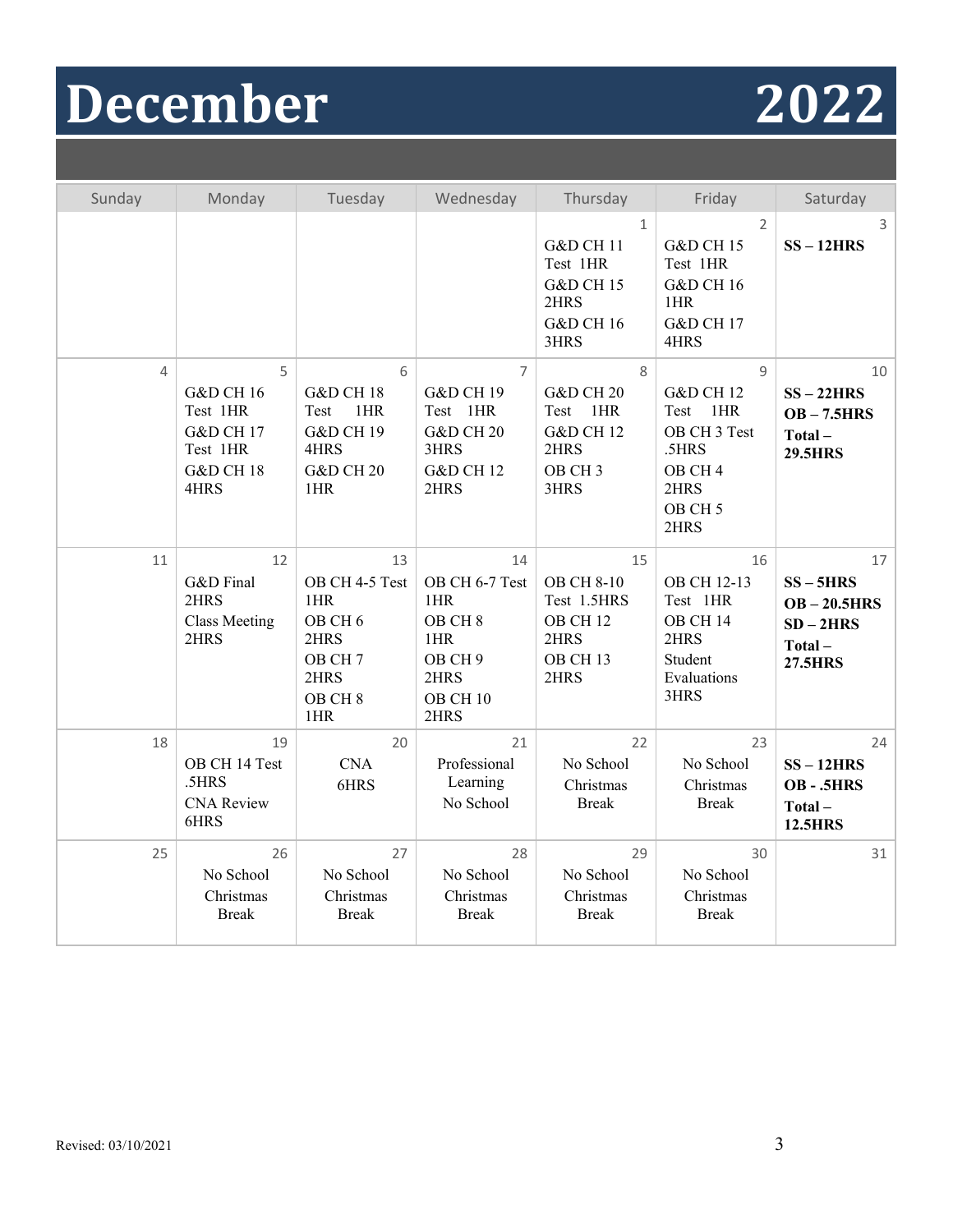# **December 2022**



| Sunday         | Monday                                                                                                    | Tuesday                                                                                                              | Wednesday                                                                                                          | Thursday                                                                                               | Friday                                                                                                                                   | Saturday                                                                     |
|----------------|-----------------------------------------------------------------------------------------------------------|----------------------------------------------------------------------------------------------------------------------|--------------------------------------------------------------------------------------------------------------------|--------------------------------------------------------------------------------------------------------|------------------------------------------------------------------------------------------------------------------------------------------|------------------------------------------------------------------------------|
|                |                                                                                                           |                                                                                                                      |                                                                                                                    | $\mathbf{1}$<br>G&D CH 11<br>Test 1HR<br><b>G&amp;D CH 15</b><br>2HRS<br><b>G&amp;D CH 16</b><br>3HRS  | $\overline{2}$<br><b>G&amp;D CH 15</b><br>Test 1HR<br><b>G&amp;D CH 16</b><br>1HR<br><b>G&amp;D CH 17</b><br>4HRS                        | 3<br>$SS - 12HRS$                                                            |
| $\overline{a}$ | 5<br><b>G&amp;D CH 16</b><br>Test 1HR<br><b>G&amp;D CH 17</b><br>Test 1HR<br><b>G&amp;D CH 18</b><br>4HRS | 6<br>G&D CH 18<br>Test<br>1HR<br><b>G&amp;D CH 19</b><br>4HRS<br>G&D CH <sub>20</sub><br>1HR                         | $\overline{7}$<br><b>G&amp;D CH 19</b><br>Test 1HR<br><b>G&amp;D CH 20</b><br>3HRS<br><b>G&amp;D CH 12</b><br>2HRS | 8<br><b>G&amp;D CH 20</b><br>Test<br>1HR<br><b>G&amp;D CH 12</b><br>2HRS<br>OB CH <sub>3</sub><br>3HRS | $\mathsf{Q}$<br><b>G&amp;D CH 12</b><br>Test<br>1HR<br>OB CH 3 Test<br>.5HRS<br>OB CH <sub>4</sub><br>2HRS<br>OB CH <sub>5</sub><br>2HRS | 10<br>$SS - 22HRS$<br>$OB - 7.5HRS$<br>Total-<br><b>29.5HRS</b>              |
| 11             | 12<br>G&D Final<br>2HRS<br><b>Class Meeting</b><br>2HRS                                                   | 13<br>OB CH 4-5 Test<br>1HR<br>OB CH <sub>6</sub><br>2HRS<br>OB CH <sub>7</sub><br>2HRS<br>OB CH <sub>8</sub><br>1HR | 14<br>OB CH 6-7 Test<br>1HR<br>OB CH <sub>8</sub><br>1HR<br>OB CH 9<br>2HRS<br>OB CH 10<br>2HRS                    | 15<br><b>OB CH 8-10</b><br>Test 1.5HRS<br>OB CH <sub>12</sub><br>2HRS<br>OB CH <sub>13</sub><br>2HRS   | 16<br>OB CH 12-13<br>Test 1HR<br>OB CH 14<br>2HRS<br>Student<br>Evaluations<br>3HRS                                                      | 17<br>$SS - 5HRS$<br>$OB - 20.5HRS$<br>$SD-2HRS$<br>Total-<br><b>27.5HRS</b> |
| 18             | 19<br>OB CH 14 Test<br>.5HRS<br><b>CNA</b> Review<br>6HRS                                                 | 20<br><b>CNA</b><br>6HRS                                                                                             | 21<br>Professional<br>Learning<br>No School                                                                        | 22<br>No School<br>Christmas<br><b>Break</b>                                                           | 23<br>No School<br>Christmas<br><b>Break</b>                                                                                             | 24<br>$SS - 12HRS$<br>OB-.5HRS<br>Total-<br><b>12.5HRS</b>                   |
| 25             | 26<br>No School<br>Christmas<br><b>Break</b>                                                              | 27<br>No School<br>Christmas<br><b>Break</b>                                                                         | 28<br>No School<br>Christmas<br><b>Break</b>                                                                       | 29<br>No School<br>Christmas<br><b>Break</b>                                                           | 30<br>No School<br>Christmas<br><b>Break</b>                                                                                             | 31                                                                           |